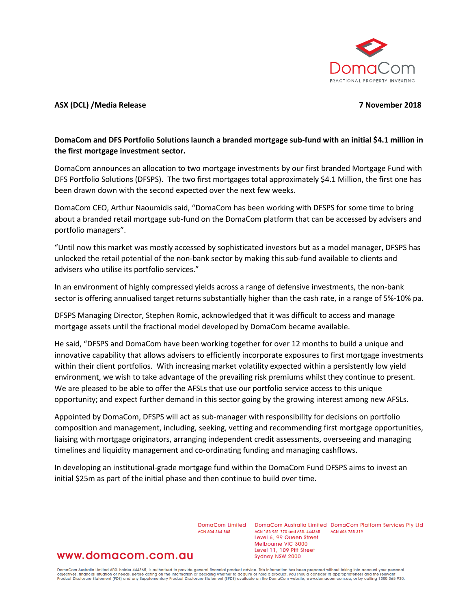

## **ASX (DCL) /Media Release 7 November 2018**

# **DomaCom and DFS Portfolio Solutions launch a branded mortgage sub-fund with an initial \$4.1 million in the first mortgage investment sector.**

DomaCom announces an allocation to two mortgage investments by our first branded Mortgage Fund with DFS Portfolio Solutions (DFSPS). The two first mortgages total approximately \$4.1 Million, the first one has been drawn down with the second expected over the next few weeks.

DomaCom CEO, Arthur Naoumidis said, "DomaCom has been working with DFSPS for some time to bring about a branded retail mortgage sub-fund on the DomaCom platform that can be accessed by advisers and portfolio managers".

"Until now this market was mostly accessed by sophisticated investors but as a model manager, DFSPS has unlocked the retail potential of the non-bank sector by making this sub-fund available to clients and advisers who utilise its portfolio services."

In an environment of highly compressed yields across a range of defensive investments, the non-bank sector is offering annualised target returns substantially higher than the cash rate, in a range of 5%-10% pa.

DFSPS Managing Director, Stephen Romic, acknowledged that it was difficult to access and manage mortgage assets until the fractional model developed by DomaCom became available.

He said, "DFSPS and DomaCom have been working together for over 12 months to build a unique and innovative capability that allows advisers to efficiently incorporate exposures to first mortgage investments within their client portfolios. With increasing market volatility expected within a persistently low yield environment, we wish to take advantage of the prevailing risk premiums whilst they continue to present. We are pleased to be able to offer the AFSLs that use our portfolio service access to this unique opportunity; and expect further demand in this sector going by the growing interest among new AFSLs.

Appointed by DomaCom, DFSPS will act as sub-manager with responsibility for decisions on portfolio composition and management, including, seeking, vetting and recommending first mortgage opportunities, liaising with mortgage originators, arranging independent credit assessments, overseeing and managing timelines and liquidity management and co-ordinating funding and managing cashflows.

In developing an institutional-grade mortgage fund within the DomaCom Fund DFSPS aims to invest an initial \$25m as part of the initial phase and then continue to build over time.

ACN 604 384 885

DomaCom Limited DomaCom Australia Limited DomaCom Platform Services Pty Ltd ACN 153 951 770 and AFSL 444365 ACN 606 755 319 Level 6, 99 Queen Street Melbourne VIC 3000 Level 11, 109 Pitt Street Sydney NSW 2000

# www.domacom.com.au

DomaCom Australia Limited AFSL holder 444365, is authorised to provide general financial product advice. This information has been prepared without taking into account your personal<br>objectives, financial situation or needs